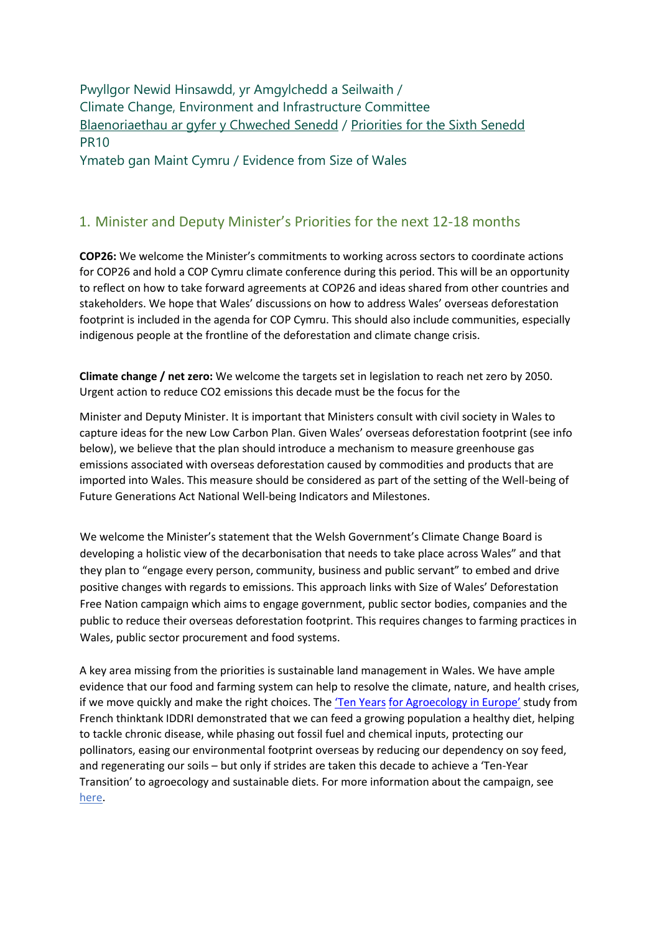Pwyllgor Newid Hinsawdd, yr Amgylchedd a Seilwaith / Climate Change, Environment and Infrastructure Committee [Blaenoriaethau ar gyfer y Chweched Senedd](https://busnes.senedd.cymru/mgConsultationDisplay.aspx?id=427&RPID=1026452002&cp=yes) / Priorities [for the Sixth Senedd](https://business.senedd.wales/mgConsultationDisplay.aspx?id=427&RPID=1026452002&cp=yes) PR10

Ymateb gan Maint Cymru / Evidence from Size of Wales

## 1. Minister and Deputy Minister's Priorities for the next 12-18 months

**COP26:** We welcome the Minister's commitments to working across sectors to coordinate actions for COP26 and hold a COP Cymru climate conference during this period. This will be an opportunity to reflect on how to take forward agreements at COP26 and ideas shared from other countries and stakeholders. We hope that Wales' discussions on how to address Wales' overseas deforestation footprint is included in the agenda for COP Cymru. This should also include communities, especially indigenous people at the frontline of the deforestation and climate change crisis.

**Climate change / net zero:** We welcome the targets set in legislation to reach net zero by 2050. Urgent action to reduce CO2 emissions this decade must be the focus for the

Minister and Deputy Minister. It is important that Ministers consult with civil society in Wales to capture ideas for the new Low Carbon Plan. Given Wales' overseas deforestation footprint (see info below), we believe that the plan should introduce a mechanism to measure greenhouse gas emissions associated with overseas deforestation caused by commodities and products that are imported into Wales. This measure should be considered as part of the setting of the Well-being of Future Generations Act National Well-being Indicators and Milestones.

We welcome the Minister's statement that the Welsh Government's Climate Change Board is developing a holistic view of the decarbonisation that needs to take place across Wales" and that they plan to "engage every person, community, business and public servant" to embed and drive positive changes with regards to emissions. This approach links with Size of Wales' Deforestation Free Nation campaign which aims to engage government, public sector bodies, companies and the public to reduce their overseas deforestation footprint. This requires changes to farming practices in Wales, public sector procurement and food systems.

A key area missing from the priorities is sustainable land management in Wales. We have ample evidence that our food and farming system can help to resolve the climate, nature, and health crises, if we move quickly and make the right choices. The ['Ten Years](https://www.soilassociation.org/media/18074/iddri-study-tyfa.pdf) [for Agroecology in Europe'](https://www.soilassociation.org/media/18074/iddri-study-tyfa.pdf) study from French thinktank IDDRI demonstrated that we can feed a growing population a healthy diet, helping to tackle chronic disease, while phasing out fossil fuel and chemical inputs, protecting our pollinators, easing our environmental footprint overseas by reducing our dependency on soy feed, and regenerating our soils – but only if strides are taken this decade to achieve a 'Ten-Year Transition' to agroecology and sustainable diets. For more information about the campaign, see [here.](https://sizeofwales.org.uk/education/deforestation-free-nation/)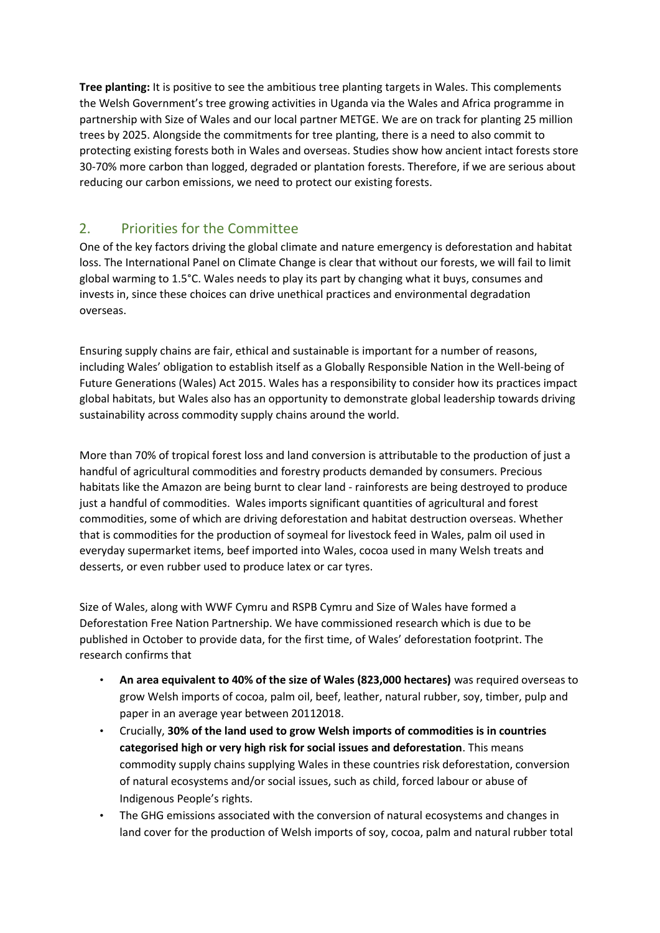**Tree planting:** It is positive to see the ambitious tree planting targets in Wales. This complements the Welsh Government's tree growing activities in Uganda via the Wales and Africa programme in partnership with Size of Wales and our local partner METGE. We are on track for planting 25 million trees by 2025. Alongside the commitments for tree planting, there is a need to also commit to protecting existing forests both in Wales and overseas. Studies show how ancient intact forests store 30-70% more carbon than logged, degraded or plantation forests. Therefore, if we are serious about reducing our carbon emissions, we need to protect our existing forests.

## 2. Priorities for the Committee

One of the key factors driving the global climate and nature emergency is deforestation and habitat loss. The International Panel on Climate Change is clear that without our forests, we will fail to limit global warming to 1.5°C. Wales needs to play its part by changing what it buys, consumes and invests in, since these choices can drive unethical practices and environmental degradation overseas.

Ensuring supply chains are fair, ethical and sustainable is important for a number of reasons, including Wales' obligation to establish itself as a Globally Responsible Nation in the Well-being of Future Generations (Wales) Act 2015. Wales has a responsibility to consider how its practices impact global habitats, but Wales also has an opportunity to demonstrate global leadership towards driving sustainability across commodity supply chains around the world.

More than 70% of tropical forest loss and land conversion is attributable to the production of just a handful of agricultural commodities and forestry products demanded by consumers. Precious habitats like the Amazon are being burnt to clear land - rainforests are being destroyed to produce just a handful of commodities. Wales imports significant quantities of agricultural and forest commodities, some of which are driving deforestation and habitat destruction overseas. Whether that is commodities for the production of soymeal for livestock feed in Wales, palm oil used in everyday supermarket items, beef imported into Wales, cocoa used in many Welsh treats and desserts, or even rubber used to produce latex or car tyres.

Size of Wales, along with WWF Cymru and RSPB Cymru and Size of Wales have formed a Deforestation Free Nation Partnership. We have commissioned research which is due to be published in October to provide data, for the first time, of Wales' deforestation footprint. The research confirms that

- **An area equivalent to 40% of the size of Wales (823,000 hectares)** was required overseas to grow Welsh imports of cocoa, palm oil, beef, leather, natural rubber, soy, timber, pulp and paper in an average year between 20112018.
- Crucially, **30% of the land used to grow Welsh imports of commodities is in countries categorised high or very high risk for social issues and deforestation**. This means commodity supply chains supplying Wales in these countries risk deforestation, conversion of natural ecosystems and/or social issues, such as child, forced labour or abuse of Indigenous People's rights.
- The GHG emissions associated with the conversion of natural ecosystems and changes in land cover for the production of Welsh imports of soy, cocoa, palm and natural rubber total